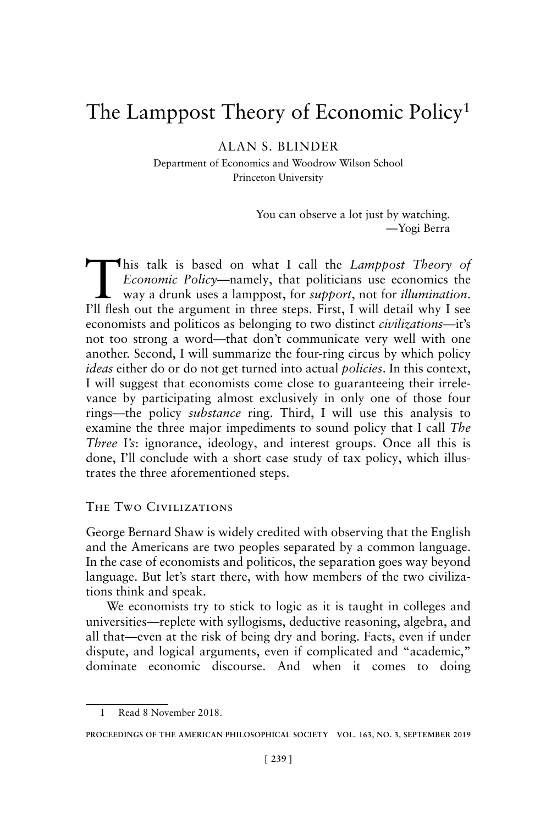# The Lamppost Theory of Economic Policy1

ALAN S. BLINDER

Department of Economics and Woodrow Wilson School Princeton University

> You can observe a lot just by watching. —Yogi Berra

This talk is based on what I call the *Lamppost Theory of Economic Policy*—namely, that politicians use economics the way a drunk uses a lamppost, for *support*, not for *illumination*. I'll flesh out the argument in three steps. First, I will detail why I see economists and politicos as belonging to two distinct *civilizations*—it's not too strong a word—that don't communicate very well with one another. Second, I will summarize the four-ring circus by which policy *ideas* either do or do not get turned into actual *policies*. In this context, I will suggest that economists come close to guaranteeing their irrelevance by participating almost exclusively in only one of those four rings—the policy *substance* ring. Third, I will use this analysis to examine the three major impediments to sound policy that I call *The Three I's*: ignorance, ideology, and interest groups. Once all this is done, I'll conclude with a short case study of tax policy, which illustrates the three aforementioned steps.

## The Two Civilizations

George Bernard Shaw is widely credited with observing that the English and the Americans are two peoples separated by a common language. In the case of economists and politicos, the separation goes way beyond language. But let's start there, with how members of the two civilizations think and speak.

We economists try to stick to logic as it is taught in colleges and universities—replete with syllogisms, deductive reasoning, algebra, and all that—even at the risk of being dry and boring. Facts, even if under dispute, and logical arguments, even if complicated and "academic," dominate economic discourse. And when it comes to doing

<sup>1</sup> Read 8 November 2018.

**PROCEEDINGS OF THE AMERICAN PHILOSOPHICAL SOCIETY VOL. 163, NO. 3, SEPTEMBER 2019**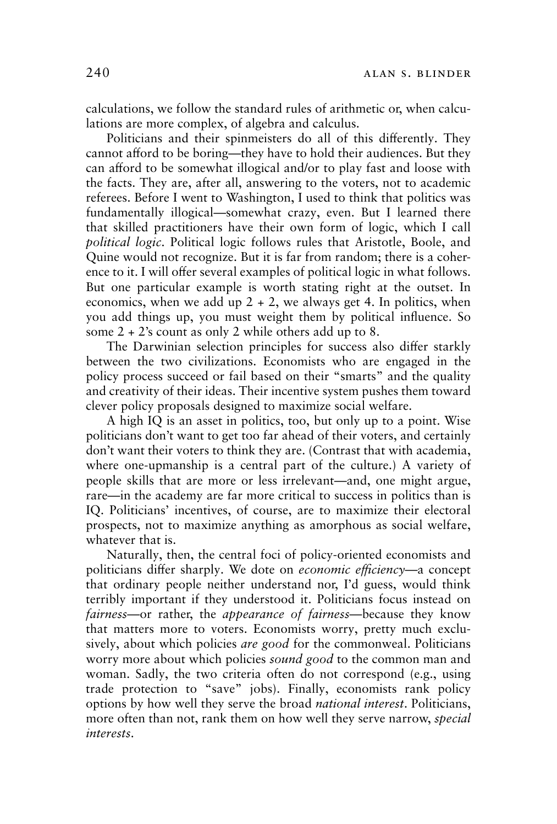calculations, we follow the standard rules of arithmetic or, when calculations are more complex, of algebra and calculus.

Politicians and their spinmeisters do all of this differently. They cannot afford to be boring—they have to hold their audiences. But they can afford to be somewhat illogical and/or to play fast and loose with the facts. They are, after all, answering to the voters, not to academic referees. Before I went to Washington, I used to think that politics was fundamentally illogical—somewhat crazy, even. But I learned there that skilled practitioners have their own form of logic, which I call *political logic*. Political logic follows rules that Aristotle, Boole, and Quine would not recognize. But it is far from random; there is a coherence to it. I will offer several examples of political logic in what follows. But one particular example is worth stating right at the outset. In economics, when we add up  $2 + 2$ , we always get 4. In politics, when you add things up, you must weight them by political influence. So some 2 + 2's count as only 2 while others add up to 8.

The Darwinian selection principles for success also differ starkly between the two civilizations. Economists who are engaged in the policy process succeed or fail based on their "smarts" and the quality and creativity of their ideas. Their incentive system pushes them toward clever policy proposals designed to maximize social welfare.

A high IQ is an asset in politics, too, but only up to a point. Wise politicians don't want to get too far ahead of their voters, and certainly don't want their voters to think they are. (Contrast that with academia, where one-upmanship is a central part of the culture.) A variety of people skills that are more or less irrelevant—and, one might argue, rare—in the academy are far more critical to success in politics than is IQ. Politicians' incentives, of course, are to maximize their electoral prospects, not to maximize anything as amorphous as social welfare, whatever that is.

Naturally, then, the central foci of policy-oriented economists and politicians differ sharply. We dote on *economic efficiency*—a concept that ordinary people neither understand nor, I'd guess, would think terribly important if they understood it. Politicians focus instead on *fairness*—or rather, the *appearance of fairness*—because they know that matters more to voters. Economists worry, pretty much exclusively, about which policies *are good* for the commonweal. Politicians worry more about which policies *sound good* to the common man and woman. Sadly, the two criteria often do not correspond (e.g., using trade protection to "save" jobs). Finally, economists rank policy options by how well they serve the broad *national interest*. Politicians, more often than not, rank them on how well they serve narrow, *special interests*.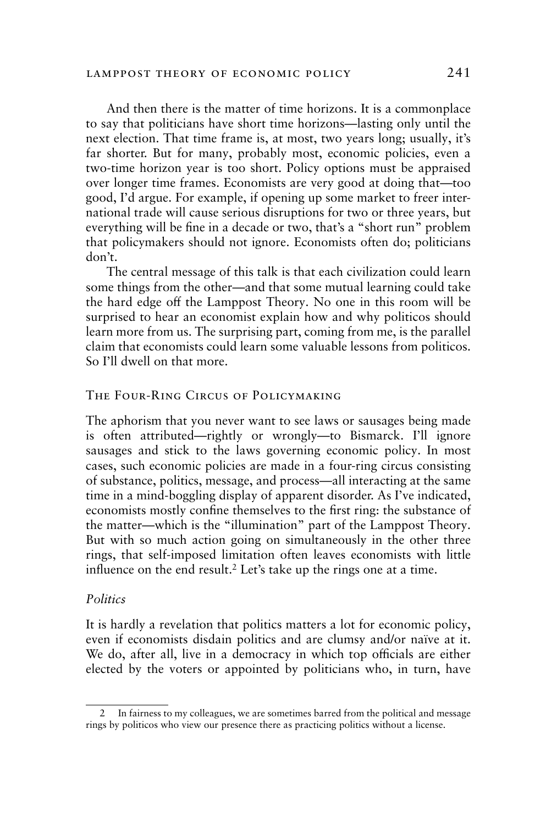## lamppost theory of economic policy 241

And then there is the matter of time horizons. It is a commonplace to say that politicians have short time horizons—lasting only until the next election. That time frame is, at most, two years long; usually, it's far shorter. But for many, probably most, economic policies, even a two-time horizon year is too short. Policy options must be appraised over longer time frames. Economists are very good at doing that—too good, I'd argue. For example, if opening up some market to freer international trade will cause serious disruptions for two or three years, but everything will be fine in a decade or two, that's a "short run" problem that policymakers should not ignore. Economists often do; politicians don't.

The central message of this talk is that each civilization could learn some things from the other—and that some mutual learning could take the hard edge off the Lamppost Theory. No one in this room will be surprised to hear an economist explain how and why politicos should learn more from us. The surprising part, coming from me, is the parallel claim that economists could learn some valuable lessons from politicos. So I'll dwell on that more.

## The Four-Ring Circus of Policymaking

The aphorism that you never want to see laws or sausages being made is often attributed—rightly or wrongly—to Bismarck. I'll ignore sausages and stick to the laws governing economic policy. In most cases, such economic policies are made in a four-ring circus consisting of substance, politics, message, and process—all interacting at the same time in a mind-boggling display of apparent disorder. As I've indicated, economists mostly confine themselves to the first ring: the substance of the matter—which is the "illumination" part of the Lamppost Theory. But with so much action going on simultaneously in the other three rings, that self-imposed limitation often leaves economists with little influence on the end result.<sup>2</sup> Let's take up the rings one at a time.

#### *Politics*

It is hardly a revelation that politics matters a lot for economic policy, even if economists disdain politics and are clumsy and/or naïve at it. We do, after all, live in a democracy in which top officials are either elected by the voters or appointed by politicians who, in turn, have

In fairness to my colleagues, we are sometimes barred from the political and message rings by politicos who view our presence there as practicing politics without a license.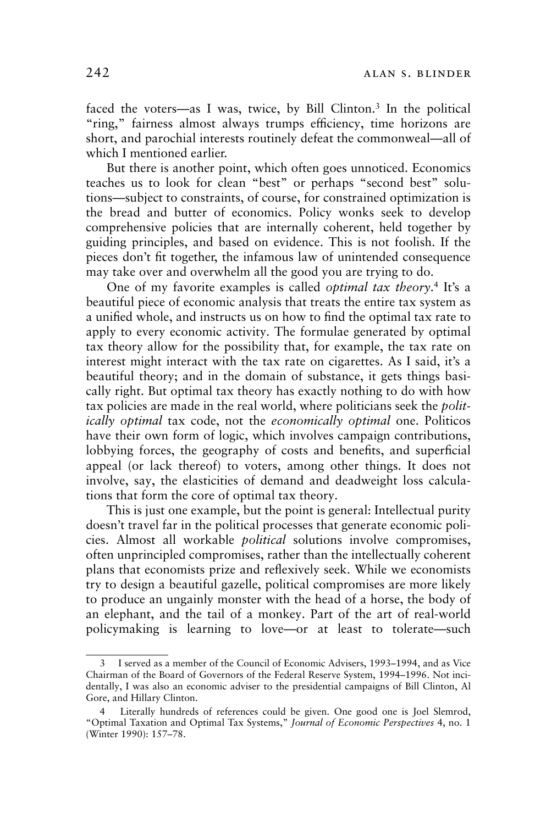faced the voters—as I was, twice, by Bill Clinton.<sup>3</sup> In the political "ring," fairness almost always trumps efficiency, time horizons are short, and parochial interests routinely defeat the commonweal—all of which I mentioned earlier.

But there is another point, which often goes unnoticed. Economics teaches us to look for clean "best" or perhaps "second best" solutions—subject to constraints, of course, for constrained optimization is the bread and butter of economics. Policy wonks seek to develop comprehensive policies that are internally coherent, held together by guiding principles, and based on evidence. This is not foolish. If the pieces don't fit together, the infamous law of unintended consequence may take over and overwhelm all the good you are trying to do.

One of my favorite examples is called *optimal tax theory*. 4 It's a beautiful piece of economic analysis that treats the entire tax system as a unified whole, and instructs us on how to find the optimal tax rate to apply to every economic activity. The formulae generated by optimal tax theory allow for the possibility that, for example, the tax rate on interest might interact with the tax rate on cigarettes. As I said, it's a beautiful theory; and in the domain of substance, it gets things basically right. But optimal tax theory has exactly nothing to do with how tax policies are made in the real world, where politicians seek the *politically optimal* tax code, not the *economically optimal* one. Politicos have their own form of logic, which involves campaign contributions, lobbying forces, the geography of costs and benefits, and superficial appeal (or lack thereof) to voters, among other things. It does not involve, say, the elasticities of demand and deadweight loss calculations that form the core of optimal tax theory.

This is just one example, but the point is general: Intellectual purity doesn't travel far in the political processes that generate economic policies. Almost all workable *political* solutions involve compromises, often unprincipled compromises, rather than the intellectually coherent plans that economists prize and reflexively seek. While we economists try to design a beautiful gazelle, political compromises are more likely to produce an ungainly monster with the head of a horse, the body of an elephant, and the tail of a monkey. Part of the art of real-world policymaking is learning to love—or at least to tolerate—such

I served as a member of the Council of Economic Advisers, 1993-1994, and as Vice Chairman of the Board of Governors of the Federal Reserve System, 1994–1996. Not incidentally, I was also an economic adviser to the presidential campaigns of Bill Clinton, Al Gore, and Hillary Clinton.

<sup>4</sup> Literally hundreds of references could be given. One good one is Joel Slemrod, "Optimal Taxation and Optimal Tax Systems," *Journal of Economic Perspectives* 4, no. 1 (Winter 1990): 157–78.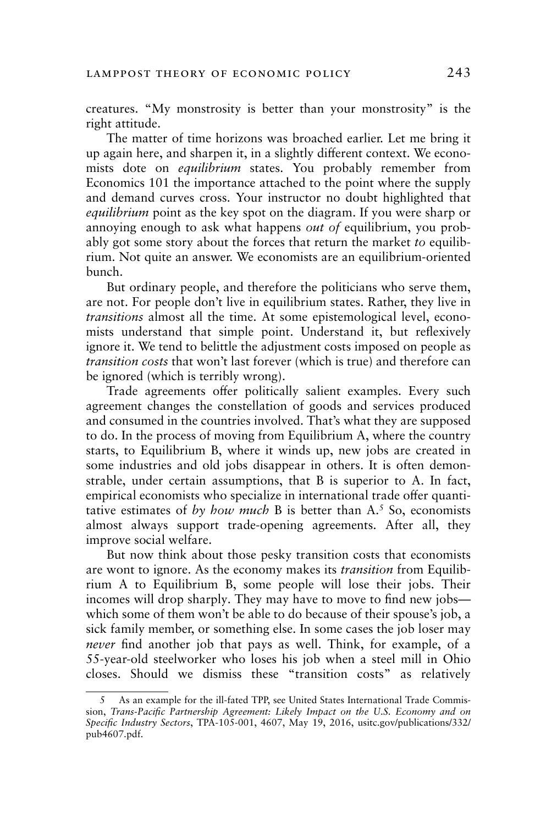creatures. "My monstrosity is better than your monstrosity" is the right attitude.

The matter of time horizons was broached earlier. Let me bring it up again here, and sharpen it, in a slightly different context. We economists dote on *equilibrium* states. You probably remember from Economics 101 the importance attached to the point where the supply and demand curves cross. Your instructor no doubt highlighted that *equilibrium* point as the key spot on the diagram. If you were sharp or annoying enough to ask what happens *out of* equilibrium, you probably got some story about the forces that return the market *to* equilibrium. Not quite an answer. We economists are an equilibrium-oriented bunch.

But ordinary people, and therefore the politicians who serve them, are not. For people don't live in equilibrium states. Rather, they live in *transitions* almost all the time. At some epistemological level, economists understand that simple point. Understand it, but reflexively ignore it. We tend to belittle the adjustment costs imposed on people as *transition costs* that won't last forever (which is true) and therefore can be ignored (which is terribly wrong).

Trade agreements offer politically salient examples. Every such agreement changes the constellation of goods and services produced and consumed in the countries involved. That's what they are supposed to do. In the process of moving from Equilibrium A, where the country starts, to Equilibrium B, where it winds up, new jobs are created in some industries and old jobs disappear in others. It is often demonstrable, under certain assumptions, that B is superior to A. In fact, empirical economists who specialize in international trade offer quantitative estimates of *by how much* B is better than A.5 So, economists almost always support trade-opening agreements. After all, they improve social welfare.

But now think about those pesky transition costs that economists are wont to ignore. As the economy makes its *transition* from Equilibrium A to Equilibrium B, some people will lose their jobs. Their incomes will drop sharply. They may have to move to find new jobs which some of them won't be able to do because of their spouse's job, a sick family member, or something else. In some cases the job loser may *never* find another job that pays as well. Think, for example, of a 55-year-old steelworker who loses his job when a steel mill in Ohio closes. Should we dismiss these "transition costs" as relatively

As an example for the ill-fated TPP, see United States International Trade Commission, *Trans-Pacific Partnership Agreement: Likely Impact on the U.S. Economy and on Specific Industry Sectors*, TPA-105-001, 4607, May 19, 2016, usitc.gov/publications/332/ pub4607.pdf.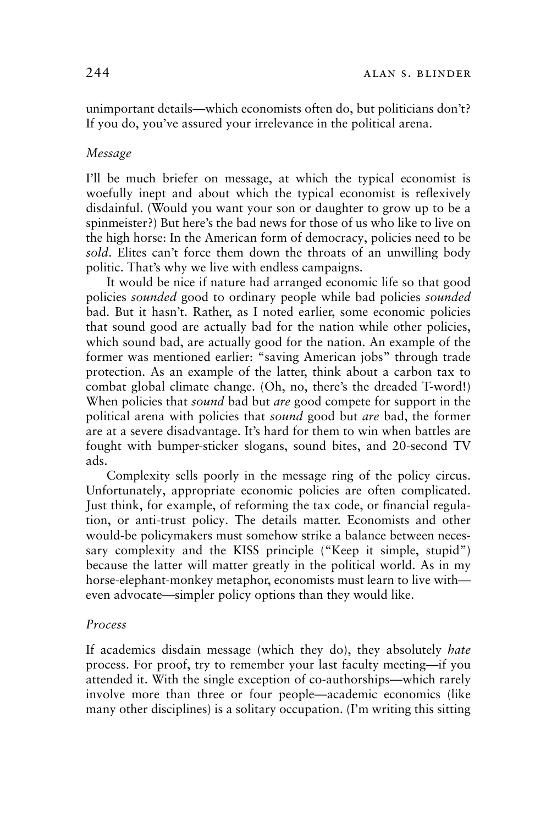unimportant details—which economists often do, but politicians don't? If you do, you've assured your irrelevance in the political arena.

# *Message*

I'll be much briefer on message, at which the typical economist is woefully inept and about which the typical economist is reflexively disdainful. (Would you want your son or daughter to grow up to be a spinmeister?) But here's the bad news for those of us who like to live on the high horse: In the American form of democracy, policies need to be *sold*. Elites can't force them down the throats of an unwilling body politic. That's why we live with endless campaigns.

It would be nice if nature had arranged economic life so that good policies *sounded* good to ordinary people while bad policies *sounded*  bad. But it hasn't. Rather, as I noted earlier, some economic policies that sound good are actually bad for the nation while other policies, which sound bad, are actually good for the nation. An example of the former was mentioned earlier: "saving American jobs" through trade protection. As an example of the latter, think about a carbon tax to combat global climate change. (Oh, no, there's the dreaded T-word!) When policies that *sound* bad but *are* good compete for support in the political arena with policies that *sound* good but *are* bad, the former are at a severe disadvantage. It's hard for them to win when battles are fought with bumper-sticker slogans, sound bites, and 20-second TV ads.

Complexity sells poorly in the message ring of the policy circus. Unfortunately, appropriate economic policies are often complicated. Just think, for example, of reforming the tax code, or financial regulation, or anti-trust policy. The details matter. Economists and other would-be policymakers must somehow strike a balance between necessary complexity and the KISS principle ("Keep it simple, stupid") because the latter will matter greatly in the political world. As in my horse-elephant-monkey metaphor, economists must learn to live with even advocate—simpler policy options than they would like.

# *Process*

If academics disdain message (which they do), they absolutely *hate* process. For proof, try to remember your last faculty meeting—if you attended it. With the single exception of co-authorships—which rarely involve more than three or four people—academic economics (like many other disciplines) is a solitary occupation. (I'm writing this sitting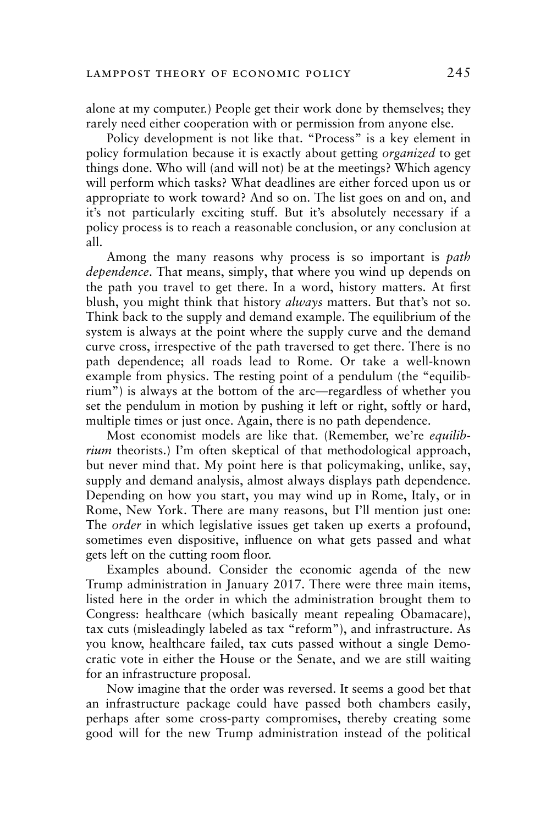alone at my computer.) People get their work done by themselves; they rarely need either cooperation with or permission from anyone else.

Policy development is not like that. "Process" is a key element in policy formulation because it is exactly about getting *organized* to get things done. Who will (and will not) be at the meetings? Which agency will perform which tasks? What deadlines are either forced upon us or appropriate to work toward? And so on. The list goes on and on, and it's not particularly exciting stuff. But it's absolutely necessary if a policy process is to reach a reasonable conclusion, or any conclusion at all.

Among the many reasons why process is so important is *path dependence*. That means, simply, that where you wind up depends on the path you travel to get there. In a word, history matters. At first blush, you might think that history *always* matters. But that's not so. Think back to the supply and demand example. The equilibrium of the system is always at the point where the supply curve and the demand curve cross, irrespective of the path traversed to get there. There is no path dependence; all roads lead to Rome. Or take a well-known example from physics. The resting point of a pendulum (the "equilibrium") is always at the bottom of the arc—regardless of whether you set the pendulum in motion by pushing it left or right, softly or hard, multiple times or just once. Again, there is no path dependence.

Most economist models are like that. (Remember, we're *equilibrium* theorists.) I'm often skeptical of that methodological approach, but never mind that. My point here is that policymaking, unlike, say, supply and demand analysis, almost always displays path dependence. Depending on how you start, you may wind up in Rome, Italy, or in Rome, New York. There are many reasons, but I'll mention just one: The *order* in which legislative issues get taken up exerts a profound, sometimes even dispositive, influence on what gets passed and what gets left on the cutting room floor.

Examples abound. Consider the economic agenda of the new Trump administration in January 2017. There were three main items, listed here in the order in which the administration brought them to Congress: healthcare (which basically meant repealing Obamacare), tax cuts (misleadingly labeled as tax "reform"), and infrastructure. As you know, healthcare failed, tax cuts passed without a single Democratic vote in either the House or the Senate, and we are still waiting for an infrastructure proposal.

Now imagine that the order was reversed. It seems a good bet that an infrastructure package could have passed both chambers easily, perhaps after some cross-party compromises, thereby creating some good will for the new Trump administration instead of the political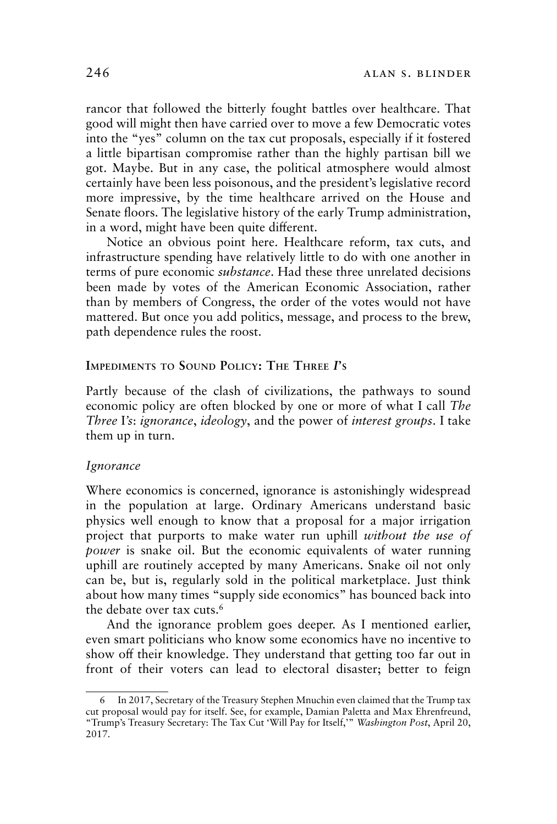rancor that followed the bitterly fought battles over healthcare. That good will might then have carried over to move a few Democratic votes into the "yes" column on the tax cut proposals, especially if it fostered a little bipartisan compromise rather than the highly partisan bill we got. Maybe. But in any case, the political atmosphere would almost certainly have been less poisonous, and the president's legislative record more impressive, by the time healthcare arrived on the House and Senate floors. The legislative history of the early Trump administration, in a word, might have been quite different.

Notice an obvious point here. Healthcare reform, tax cuts, and infrastructure spending have relatively little to do with one another in terms of pure economic *substance*. Had these three unrelated decisions been made by votes of the American Economic Association, rather than by members of Congress, the order of the votes would not have mattered. But once you add politics, message, and process to the brew, path dependence rules the roost.

## **IMPEDIMENTS TO SOUND POLICY: THE THREE** *I***'S**

Partly because of the clash of civilizations, the pathways to sound economic policy are often blocked by one or more of what I call *The Three* I*'s*: *ignorance*, *ideology*, and the power of *interest groups*. I take them up in turn.

# *Ignorance*

Where economics is concerned, ignorance is astonishingly widespread in the population at large. Ordinary Americans understand basic physics well enough to know that a proposal for a major irrigation project that purports to make water run uphill *without the use of power* is snake oil. But the economic equivalents of water running uphill are routinely accepted by many Americans. Snake oil not only can be, but is, regularly sold in the political marketplace. Just think about how many times "supply side economics" has bounced back into the debate over tax cuts.6

And the ignorance problem goes deeper. As I mentioned earlier, even smart politicians who know some economics have no incentive to show off their knowledge. They understand that getting too far out in front of their voters can lead to electoral disaster; better to feign

<sup>6</sup> In 2017, Secretary of the Treasury Stephen Mnuchin even claimed that the Trump tax cut proposal would pay for itself. See, for example, Damian Paletta and Max Ehrenfreund, "Trump's Treasury Secretary: The Tax Cut 'Will Pay for Itself,'" *Washington Post*, April 20, 2017.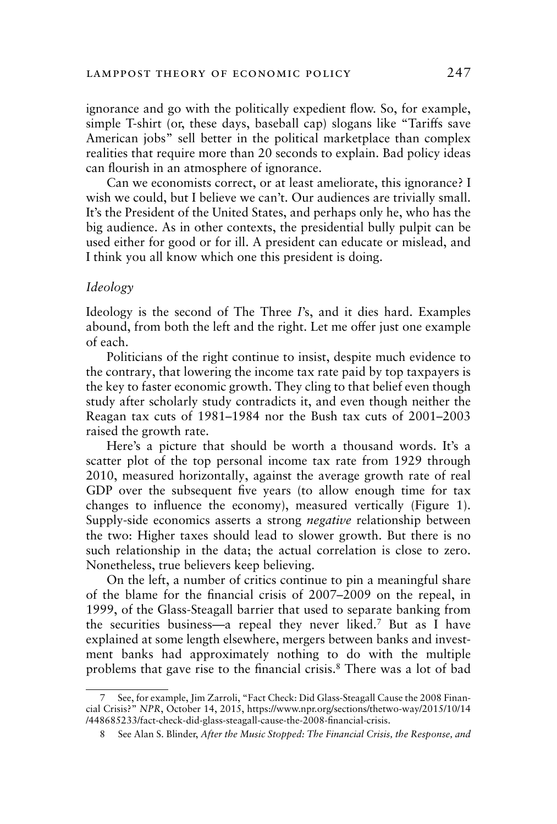ignorance and go with the politically expedient flow. So, for example, simple T-shirt (or, these days, baseball cap) slogans like "Tariffs save American jobs" sell better in the political marketplace than complex realities that require more than 20 seconds to explain. Bad policy ideas can flourish in an atmosphere of ignorance.

Can we economists correct, or at least ameliorate, this ignorance? I wish we could, but I believe we can't. Our audiences are trivially small. It's the President of the United States, and perhaps only he, who has the big audience. As in other contexts, the presidential bully pulpit can be used either for good or for ill. A president can educate or mislead, and I think you all know which one this president is doing.

## *Ideology*

Ideology is the second of The Three *I*'s, and it dies hard. Examples abound, from both the left and the right. Let me offer just one example of each.

Politicians of the right continue to insist, despite much evidence to the contrary, that lowering the income tax rate paid by top taxpayers is the key to faster economic growth. They cling to that belief even though study after scholarly study contradicts it, and even though neither the Reagan tax cuts of 1981–1984 nor the Bush tax cuts of 2001–2003 raised the growth rate.

Here's a picture that should be worth a thousand words. It's a scatter plot of the top personal income tax rate from 1929 through 2010, measured horizontally, against the average growth rate of real GDP over the subsequent five years (to allow enough time for tax changes to influence the economy), measured vertically (Figure 1). Supply-side economics asserts a strong *negative* relationship between the two: Higher taxes should lead to slower growth. But there is no such relationship in the data; the actual correlation is close to zero. Nonetheless, true believers keep believing.

On the left, a number of critics continue to pin a meaningful share of the blame for the financial crisis of 2007–2009 on the repeal, in 1999, of the Glass-Steagall barrier that used to separate banking from the securities business—a repeal they never liked.7 But as I have explained at some length elsewhere, mergers between banks and investment banks had approximately nothing to do with the multiple problems that gave rise to the financial crisis.8 There was a lot of bad

<sup>7</sup> See, for example, Jim Zarroli, "Fact Check: Did Glass-Steagall Cause the 2008 Financial Crisis?" *NPR*, October 14, 2015, https://www.npr.org/sections/thetwo-way/2015/10/14 /448685233/fact-check-did-glass-steagall-cause-the-2008-financial-crisis.

<sup>8</sup> See Alan S. Blinder, *After the Music Stopped: The Financial Crisis, the Response, and*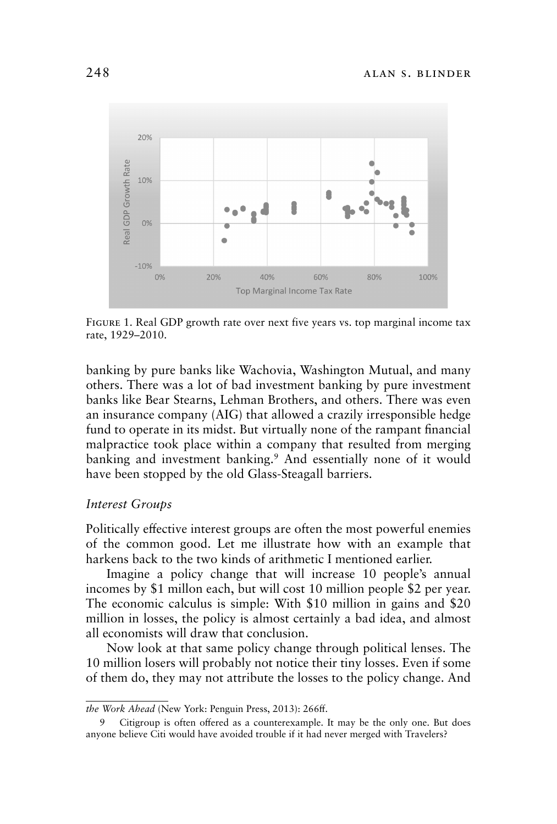

Figure 1. Real GDP growth rate over next five years vs. top marginal income tax rate, 1929–2010.

banking by pure banks like Wachovia, Washington Mutual, and many others. There was a lot of bad investment banking by pure investment banks like Bear Stearns, Lehman Brothers, and others. There was even an insurance company (AIG) that allowed a crazily irresponsible hedge fund to operate in its midst. But virtually none of the rampant financial malpractice took place within a company that resulted from merging banking and investment banking.<sup>9</sup> And essentially none of it would have been stopped by the old Glass-Steagall barriers.

# *Interest Groups*

Politically effective interest groups are often the most powerful enemies of the common good. Let me illustrate how with an example that harkens back to the two kinds of arithmetic I mentioned earlier.

Imagine a policy change that will increase 10 people's annual incomes by \$1 millon each, but will cost 10 million people \$2 per year. The economic calculus is simple: With \$10 million in gains and \$20 million in losses, the policy is almost certainly a bad idea, and almost all economists will draw that conclusion.

Now look at that same policy change through political lenses. The 10 million losers will probably not notice their tiny losses. Even if some of them do, they may not attribute the losses to the policy change. And

*the Work Ahead* (New York: Penguin Press, 2013): 266ff.

Citigroup is often offered as a counterexample. It may be the only one. But does anyone believe Citi would have avoided trouble if it had never merged with Travelers?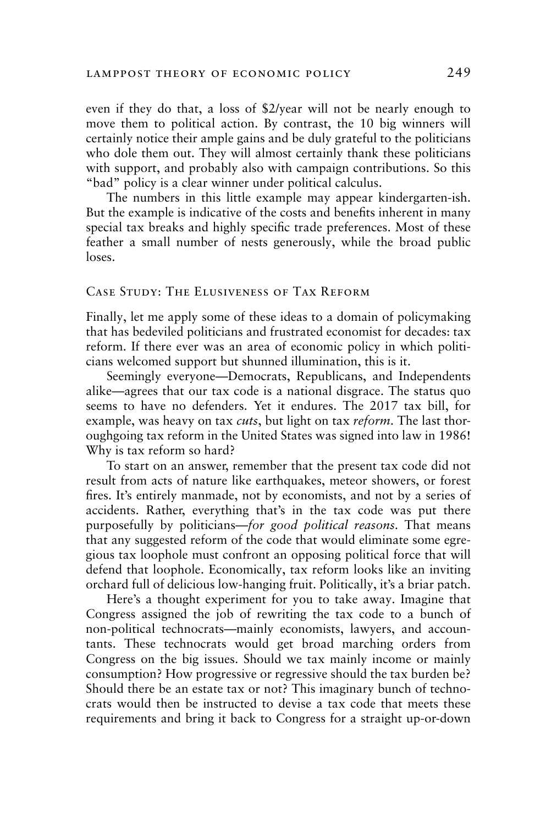even if they do that, a loss of \$2/year will not be nearly enough to move them to political action. By contrast, the 10 big winners will certainly notice their ample gains and be duly grateful to the politicians who dole them out. They will almost certainly thank these politicians with support, and probably also with campaign contributions. So this "bad" policy is a clear winner under political calculus.

The numbers in this little example may appear kindergarten-ish. But the example is indicative of the costs and benefits inherent in many special tax breaks and highly specific trade preferences. Most of these feather a small number of nests generously, while the broad public loses.

## Case Study: The Elusiveness of Tax Reform

Finally, let me apply some of these ideas to a domain of policymaking that has bedeviled politicians and frustrated economist for decades: tax reform. If there ever was an area of economic policy in which politicians welcomed support but shunned illumination, this is it.

Seemingly everyone—Democrats, Republicans, and Independents alike—agrees that our tax code is a national disgrace. The status quo seems to have no defenders. Yet it endures. The 2017 tax bill, for example, was heavy on tax *cuts*, but light on tax *reform*. The last thoroughgoing tax reform in the United States was signed into law in 1986! Why is tax reform so hard?

To start on an answer, remember that the present tax code did not result from acts of nature like earthquakes, meteor showers, or forest fires. It's entirely manmade, not by economists, and not by a series of accidents. Rather, everything that's in the tax code was put there purposefully by politicians—*for good political reasons*. That means that any suggested reform of the code that would eliminate some egregious tax loophole must confront an opposing political force that will defend that loophole. Economically, tax reform looks like an inviting orchard full of delicious low-hanging fruit. Politically, it's a briar patch.

Here's a thought experiment for you to take away. Imagine that Congress assigned the job of rewriting the tax code to a bunch of non-political technocrats—mainly economists, lawyers, and accountants. These technocrats would get broad marching orders from Congress on the big issues. Should we tax mainly income or mainly consumption? How progressive or regressive should the tax burden be? Should there be an estate tax or not? This imaginary bunch of technocrats would then be instructed to devise a tax code that meets these requirements and bring it back to Congress for a straight up-or-down